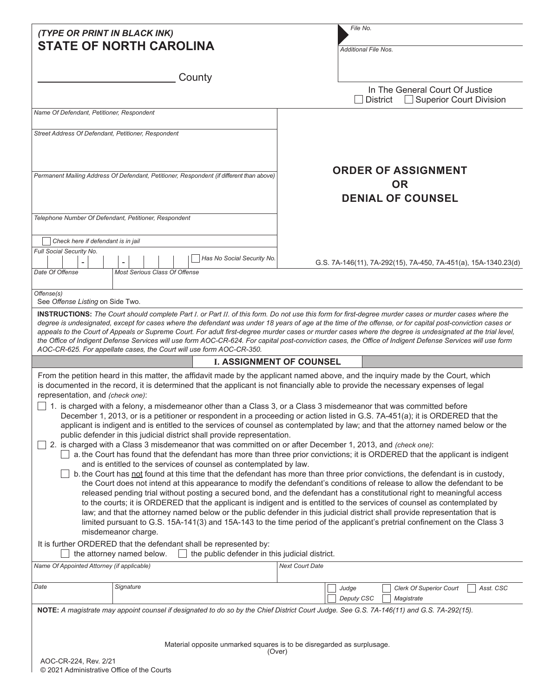| (TYPE OR PRINT IN BLACK INK)<br><b>STATE OF NORTH CAROLINA</b>                                                                                                                                                                                                                                                                                                                                            | File No.<br><b>Additional File Nos.</b>                                                                                                                                                                                                                                                                                                                                                                                                                                                                                                                                                                                                                                                                                                                                                                                                                                                                                                                                                                                                                                                                                                                                                  |  |  |  |
|-----------------------------------------------------------------------------------------------------------------------------------------------------------------------------------------------------------------------------------------------------------------------------------------------------------------------------------------------------------------------------------------------------------|------------------------------------------------------------------------------------------------------------------------------------------------------------------------------------------------------------------------------------------------------------------------------------------------------------------------------------------------------------------------------------------------------------------------------------------------------------------------------------------------------------------------------------------------------------------------------------------------------------------------------------------------------------------------------------------------------------------------------------------------------------------------------------------------------------------------------------------------------------------------------------------------------------------------------------------------------------------------------------------------------------------------------------------------------------------------------------------------------------------------------------------------------------------------------------------|--|--|--|
| County                                                                                                                                                                                                                                                                                                                                                                                                    | In The General Court Of Justice                                                                                                                                                                                                                                                                                                                                                                                                                                                                                                                                                                                                                                                                                                                                                                                                                                                                                                                                                                                                                                                                                                                                                          |  |  |  |
|                                                                                                                                                                                                                                                                                                                                                                                                           | <b>District</b><br>Superior Court Division                                                                                                                                                                                                                                                                                                                                                                                                                                                                                                                                                                                                                                                                                                                                                                                                                                                                                                                                                                                                                                                                                                                                               |  |  |  |
| Name Of Defendant, Petitioner, Respondent                                                                                                                                                                                                                                                                                                                                                                 |                                                                                                                                                                                                                                                                                                                                                                                                                                                                                                                                                                                                                                                                                                                                                                                                                                                                                                                                                                                                                                                                                                                                                                                          |  |  |  |
| Street Address Of Defendant, Petitioner, Respondent                                                                                                                                                                                                                                                                                                                                                       |                                                                                                                                                                                                                                                                                                                                                                                                                                                                                                                                                                                                                                                                                                                                                                                                                                                                                                                                                                                                                                                                                                                                                                                          |  |  |  |
| Permanent Mailing Address Of Defendant, Petitioner, Respondent (if different than above)                                                                                                                                                                                                                                                                                                                  | <b>ORDER OF ASSIGNMENT</b><br><b>OR</b><br><b>DENIAL OF COUNSEL</b>                                                                                                                                                                                                                                                                                                                                                                                                                                                                                                                                                                                                                                                                                                                                                                                                                                                                                                                                                                                                                                                                                                                      |  |  |  |
| Telephone Number Of Defendant, Petitioner, Respondent                                                                                                                                                                                                                                                                                                                                                     |                                                                                                                                                                                                                                                                                                                                                                                                                                                                                                                                                                                                                                                                                                                                                                                                                                                                                                                                                                                                                                                                                                                                                                                          |  |  |  |
|                                                                                                                                                                                                                                                                                                                                                                                                           |                                                                                                                                                                                                                                                                                                                                                                                                                                                                                                                                                                                                                                                                                                                                                                                                                                                                                                                                                                                                                                                                                                                                                                                          |  |  |  |
| Check here if defendant is in jail                                                                                                                                                                                                                                                                                                                                                                        |                                                                                                                                                                                                                                                                                                                                                                                                                                                                                                                                                                                                                                                                                                                                                                                                                                                                                                                                                                                                                                                                                                                                                                                          |  |  |  |
| Full Social Security No.<br>Has No Social Security No.                                                                                                                                                                                                                                                                                                                                                    | G.S. 7A-146(11), 7A-292(15), 7A-450, 7A-451(a), 15A-1340.23(d)                                                                                                                                                                                                                                                                                                                                                                                                                                                                                                                                                                                                                                                                                                                                                                                                                                                                                                                                                                                                                                                                                                                           |  |  |  |
| <b>Most Serious Class Of Offense</b><br>Date Of Offense                                                                                                                                                                                                                                                                                                                                                   |                                                                                                                                                                                                                                                                                                                                                                                                                                                                                                                                                                                                                                                                                                                                                                                                                                                                                                                                                                                                                                                                                                                                                                                          |  |  |  |
| Offense(s)                                                                                                                                                                                                                                                                                                                                                                                                |                                                                                                                                                                                                                                                                                                                                                                                                                                                                                                                                                                                                                                                                                                                                                                                                                                                                                                                                                                                                                                                                                                                                                                                          |  |  |  |
| See Offense Listing on Side Two.<br>INSTRUCTIONS: The Court should complete Part I. or Part II. of this form. Do not use this form for first-degree murder cases or murder cases where the                                                                                                                                                                                                                |                                                                                                                                                                                                                                                                                                                                                                                                                                                                                                                                                                                                                                                                                                                                                                                                                                                                                                                                                                                                                                                                                                                                                                                          |  |  |  |
| the Office of Indigent Defense Services will use form AOC-CR-624. For capital post-conviction cases, the Office of Indigent Defense Services will use form<br>AOC-CR-625. For appellate cases, the Court will use form AOC-CR-350.                                                                                                                                                                        | appeals to the Court of Appeals or Supreme Court. For adult first-degree murder cases or murder cases where the degree is undesignated at the trial level,<br><b>I. ASSIGNMENT OF COUNSEL</b>                                                                                                                                                                                                                                                                                                                                                                                                                                                                                                                                                                                                                                                                                                                                                                                                                                                                                                                                                                                            |  |  |  |
| From the petition heard in this matter, the affidavit made by the applicant named above, and the inquiry made by the Court, which                                                                                                                                                                                                                                                                         |                                                                                                                                                                                                                                                                                                                                                                                                                                                                                                                                                                                                                                                                                                                                                                                                                                                                                                                                                                                                                                                                                                                                                                                          |  |  |  |
| is documented in the record, it is determined that the applicant is not financially able to provide the necessary expenses of legal<br>representation, and (check one):                                                                                                                                                                                                                                   |                                                                                                                                                                                                                                                                                                                                                                                                                                                                                                                                                                                                                                                                                                                                                                                                                                                                                                                                                                                                                                                                                                                                                                                          |  |  |  |
| 1. is charged with a felony, a misdemeanor other than a Class 3, or a Class 3 misdemeanor that was committed before<br>public defender in this judicial district shall provide representation.<br>2. is charged with a Class 3 misdemeanor that was committed on or after December 1, 2013, and (check one):<br>and is entitled to the services of counsel as contemplated by law.<br>misdemeanor charge. | December 1, 2013, or is a petitioner or respondent in a proceeding or action listed in G.S. 7A-451(a); it is ORDERED that the<br>applicant is indigent and is entitled to the services of counsel as contemplated by law; and that the attorney named below or the<br>a. the Court has found that the defendant has more than three prior convictions; it is ORDERED that the applicant is indigent<br>b. the Court has not found at this time that the defendant has more than three prior convictions, the defendant is in custody,<br>the Court does not intend at this appearance to modify the defendant's conditions of release to allow the defendant to be<br>released pending trial without posting a secured bond, and the defendant has a constitutional right to meaningful access<br>to the courts; it is ORDERED that the applicant is indigent and is entitled to the services of counsel as contemplated by<br>law; and that the attorney named below or the public defender in this judicial district shall provide representation that is<br>limited pursuant to G.S. 15A-141(3) and 15A-143 to the time period of the applicant's pretrial confinement on the Class 3 |  |  |  |
| It is further ORDERED that the defendant shall be represented by:<br>the public defender in this judicial district.<br>the attorney named below.                                                                                                                                                                                                                                                          |                                                                                                                                                                                                                                                                                                                                                                                                                                                                                                                                                                                                                                                                                                                                                                                                                                                                                                                                                                                                                                                                                                                                                                                          |  |  |  |
| Name Of Appointed Attorney (if applicable)                                                                                                                                                                                                                                                                                                                                                                | <b>Next Court Date</b>                                                                                                                                                                                                                                                                                                                                                                                                                                                                                                                                                                                                                                                                                                                                                                                                                                                                                                                                                                                                                                                                                                                                                                   |  |  |  |
| Date<br>Signature                                                                                                                                                                                                                                                                                                                                                                                         | Asst. CSC<br>Judge<br><b>Clerk Of Superior Court</b><br>Deputy CSC                                                                                                                                                                                                                                                                                                                                                                                                                                                                                                                                                                                                                                                                                                                                                                                                                                                                                                                                                                                                                                                                                                                       |  |  |  |
| NOTE: A magistrate may appoint counsel if designated to do so by the Chief District Court Judge. See G.S. 7A-146(11) and G.S. 7A-292(15).                                                                                                                                                                                                                                                                 | Magistrate                                                                                                                                                                                                                                                                                                                                                                                                                                                                                                                                                                                                                                                                                                                                                                                                                                                                                                                                                                                                                                                                                                                                                                               |  |  |  |
|                                                                                                                                                                                                                                                                                                                                                                                                           | Material opposite unmarked squares is to be disregarded as surplusage.                                                                                                                                                                                                                                                                                                                                                                                                                                                                                                                                                                                                                                                                                                                                                                                                                                                                                                                                                                                                                                                                                                                   |  |  |  |